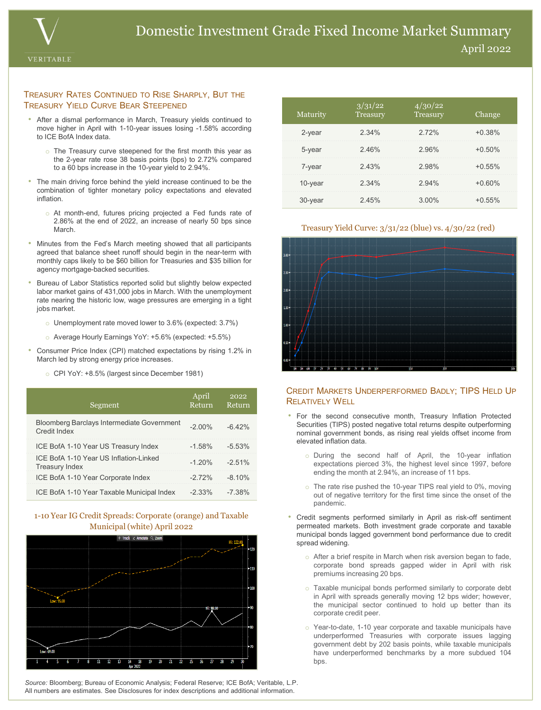

#### TREASURY RATES CONTINUED TO RISE SHARPLY, BUT THE TREASURY YIELD CURVE BEAR STEEPENED

- After a dismal performance in March, Treasury yields continued to move higher in April with 1-10-year issues losing -1.58% according to ICE BofA Index data.
	- $\circ$  The Treasury curve steepened for the first month this year as the 2-year rate rose 38 basis points (bps) to 2.72% compared to a 60 bps increase in the 10-year yield to 2.94%.
- The main driving force behind the yield increase continued to be the combination of tighter monetary policy expectations and elevated inflation.
	- o At month-end, futures pricing projected a Fed funds rate of 2.86% at the end of 2022, an increase of nearly 50 bps since **March**
- Minutes from the Fed's March meeting showed that all participants agreed that balance sheet runoff should begin in the near-term with monthly caps likely to be \$60 billion for Treasuries and \$35 billion for agency mortgage-backed securities.
- Bureau of Labor Statistics reported solid but slightly below expected labor market gains of 431,000 jobs in March. With the unemployment rate nearing the historic low, wage pressures are emerging in a tight jobs market.
	- $\circ$  Unemployment rate moved lower to 3.6% (expected: 3.7%)
	- o Average Hourly Earnings YoY: +5.6% (expected: +5.5%)
- Consumer Price Index (CPI) matched expectations by rising 1.2% in March led by strong energy price increases.
	- o CPI YoY: +8.5% (largest since December 1981)

| Segment                                                           | April<br>Return | 2022<br>Return |
|-------------------------------------------------------------------|-----------------|----------------|
| <b>Bloomberg Barclays Intermediate Government</b><br>Credit Index | $-2.00\%$       | $-6.42%$       |
| ICE BofA 1-10 Year US Treasury Index                              | $-1.58%$        | $-5.53%$       |
| ICE BofA 1-10 Year US Inflation-Linked<br><b>Treasury Index</b>   | $-1.20%$        | $-2.51%$       |
| ICE BofA 1-10 Year Corporate Index                                | $-272%$         | $-8,10\%$      |
| ICE BofA 1-10 Year Taxable Municipal Index                        | $-2.33\%$       | $-7.38%$       |

## 1-10 Year IG Credit Spreads: Corporate (orange) and Taxable Municipal (white) April 2022



| Maturity   | 3/31/22<br>Treasury | 4/30/22<br>Treasury | Change    |
|------------|---------------------|---------------------|-----------|
| 2-year     | 2.34%               | 2.72%               | $+0.38%$  |
| 5-year     | 2.46%               | 2.96%               | $+0.50%$  |
| 7-year     | 2.43%               | 2.98%               | $+0.55%$  |
| 10-year    | 2.34%               | 2.94%               | $+0.60%$  |
| $30$ -year | 245%                | $3.00\%$            | $+0.55\%$ |

#### Treasury Yield Curve: 3/31/22 (blue) vs. 4/30/22 (red)



## CREDIT MARKETS UNDERPERFORMED BADLY; TIPS HELD UP RELATIVELY WELL

- For the second consecutive month, Treasury Inflation Protected Securities (TIPS) posted negative total returns despite outperforming nominal government bonds, as rising real yields offset income from elevated inflation data.
	- o During the second half of April, the 10-year inflation expectations pierced 3%, the highest level since 1997, before ending the month at 2.94%, an increase of 11 bps.
	- o The rate rise pushed the 10-year TIPS real yield to 0%, moving out of negative territory for the first time since the onset of the pandemic.
- Credit segments performed similarly in April as risk-off sentiment permeated markets. Both investment grade corporate and taxable municipal bonds lagged government bond performance due to credit spread widening.
	- o After a brief respite in March when risk aversion began to fade, corporate bond spreads gapped wider in April with risk premiums increasing 20 bps.
	- o Taxable municipal bonds performed similarly to corporate debt in April with spreads generally moving 12 bps wider; however, the municipal sector continued to hold up better than its corporate credit peer.
	- o Year-to-date, 1-10 year corporate and taxable municipals have underperformed Treasuries with corporate issues lagging government debt by 202 basis points, while taxable municipals have underperformed benchmarks by a more subdued 104 bps.

*Source:* Bloomberg; Bureau of Economic Analysis; Federal Reserve; ICE BofA; Veritable, L.P. All numbers are estimates. See Disclosures for index descriptions and additional information.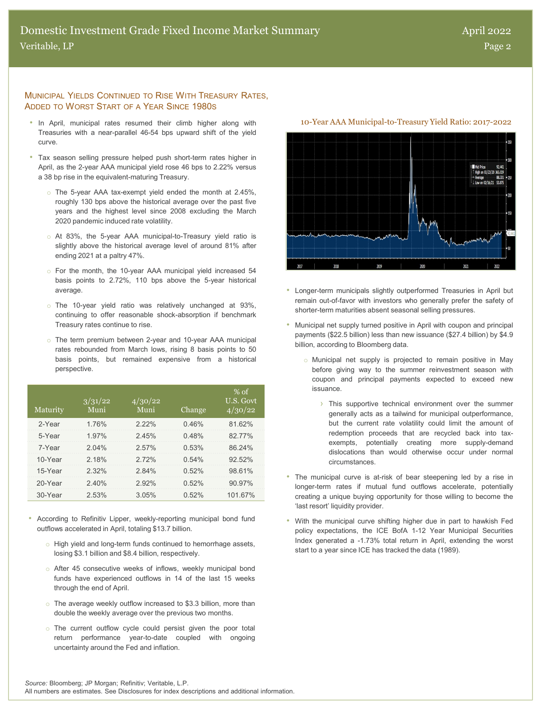## MUNICIPAL YIELDS CONTINUED TO RISE WITH TREASURY RATES, ADDED TO WORST START OF A YEAR SINCE 1980S

- In April, municipal rates resumed their climb higher along with 10-Year AAA Municipal-to-Treasury Yield Ratio: 2017-2022 Treasuries with a near-parallel 46-54 bps upward shift of the yield curve.
- Tax season selling pressure helped push short-term rates higher in April, as the 2-year AAA municipal yield rose 46 bps to 2.22% versus a 38 bp rise in the equivalent-maturing Treasury.
	- o The 5-year AAA tax-exempt yield ended the month at 2.45%, roughly 130 bps above the historical average over the past five years and the highest level since 2008 excluding the March 2020 pandemic induced rate volatility.
	- o At 83%, the 5-year AAA municipal-to-Treasury yield ratio is slightly above the historical average level of around 81% after ending 2021 at a paltry 47%.
	- o For the month, the 10-year AAA municipal yield increased 54 basis points to 2.72%, 110 bps above the 5-year historical average.
	- o The 10-year yield ratio was relatively unchanged at 93%, continuing to offer reasonable shock-absorption if benchmark Treasury rates continue to rise.
	- o The term premium between 2-year and 10-year AAA municipal rates rebounded from March lows, rising 8 basis points to 50 basis points, but remained expensive from a historical perspective.

| Maturity | 3/31/22<br>Muni | 4/30/22<br>Muni | Change | $%$ of<br>U.S. Govt<br>4/30/22 |
|----------|-----------------|-----------------|--------|--------------------------------|
| 2-Year   | 1 76%           | 222%            | 0.46%  | 81 62%                         |
| 5-Year   | 1.97%           | 245%            | 0.48%  | 82 77%                         |
| 7-Year   | 2.04%           | 2.57%           | 0.53%  | 86 24%                         |
| 10-Year  | 2.18%           | 272%            | 0.54%  | $92.52\%$                      |
| 15-Year  | 2.32%           | 284%            | 0.52%  | 98 61%                         |
| 20-Year  | 240%            | 2.92%           | 0.52%  | $90.97\%$                      |
| 30-Year  | 2.53%           | 3.05%           | 0.52%  | 101 67%                        |

- According to Refinitiv Lipper, weekly-reporting municipal bond fund outflows accelerated in April, totaling \$13.7 billion.
	- o High yield and long-term funds continued to hemorrhage assets, losing \$3.1 billion and \$8.4 billion, respectively.
	- o After 45 consecutive weeks of inflows, weekly municipal bond funds have experienced outflows in 14 of the last 15 weeks through the end of April.
	- o The average weekly outflow increased to \$3.3 billion, more than double the weekly average over the previous two months.
	- o The current outflow cycle could persist given the poor total return performance year-to-date coupled with ongoing uncertainty around the Fed and inflation.



- Longer-term municipals slightly outperformed Treasuries in April but remain out-of-favor with investors who generally prefer the safety of shorter-term maturities absent seasonal selling pressures.
- Municipal net supply turned positive in April with coupon and principal payments (\$22.5 billion) less than new issuance (\$27.4 billion) by \$4.9 billion, according to Bloomberg data.
	- o Municipal net supply is projected to remain positive in May before giving way to the summer reinvestment season with coupon and principal payments expected to exceed new issuance.
		- › This supportive technical environment over the summer generally acts as a tailwind for municipal outperformance, but the current rate volatility could limit the amount of redemption proceeds that are recycled back into taxexempts, potentially creating more supply-demand dislocations than would otherwise occur under normal circumstances.
- The municipal curve is at-risk of bear steepening led by a rise in longer-term rates if mutual fund outflows accelerate, potentially creating a unique buying opportunity for those willing to become the 'last resort' liquidity provider.
- With the municipal curve shifting higher due in part to hawkish Fed policy expectations, the ICE BofA 1-12 Year Municipal Securities Index generated a -1.73% total return in April, extending the worst start to a year since ICE has tracked the data (1989).